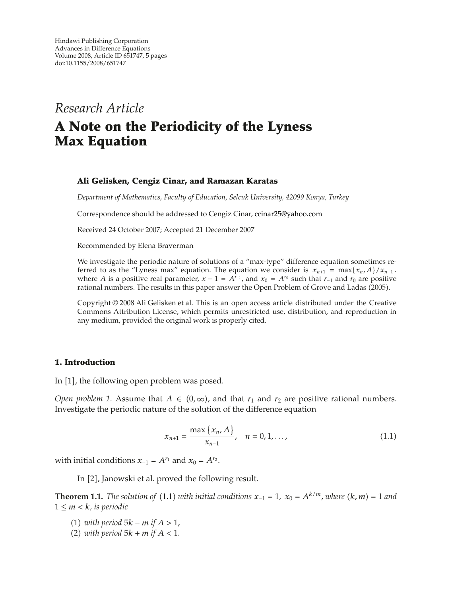# *Research Article*

# **A Note on the Periodicity of the Lyness Max Equation**

## **Ali Gelisken, Cengiz Cinar, and Ramazan Karatas**

*Department of Mathematics, Faculty of Education, Selcuk University, 42099 Konya, Turkey*

Correspondence should be addressed to Cengiz Cinar, ccinar25@yahoo.com

Received 24 October 2007; Accepted 21 December 2007

Recommended by Elena Braverman

We investigate the periodic nature of solutions of a "max-type" difference equation sometimes referred to as the "Lyness max" equation. The equation we consider is  $x_{n+1} = \max\{x_n, A\}/x_{n-1}$ . where *A* is a positive real parameter,  $x - 1 = A^{r-1}$ , and  $x_0 = A^{r_0}$  such that  $r_{-1}$  and  $r_0$  are positive rational numbers. The results in this paper answer the Open Problem of Grove and Ladas 2005.

Copyright © 2008 Ali Gelisken et al. This is an open access article distributed under the Creative Commons Attribution License, which permits unrestricted use, distribution, and reproduction in any medium, provided the original work is properly cited.

#### **1. Introduction**

In  $[1]$ , the following open problem was posed.

*Open problem 1.* Assume that  $A \in (0, \infty)$ , and that  $r_1$  and  $r_2$  are positive rational numbers. Investigate the periodic nature of the solution of the difference equation

$$
x_{n+1} = \frac{\max\{x_n, A\}}{x_{n-1}}, \quad n = 0, 1, ..., \tag{1.1}
$$

with initial conditions  $x_{-1} = A^{r_1}$  and  $x_0 = A^{r_2}$ .

In [2], Janowski et al. proved the following result.

**Theorem 1.1.** *The solution of* (1.1) *with initial conditions*  $x_{-1} = 1$ *,*  $x_0 = A^{k/m}$ *, where*  $(k, m) = 1$  *and*  $1 \leq m < k$ *, is periodic* 

- 1 *with period* 5*k* − *m if A >* 1*,*
- (2) *with period*  $5k + m$  *if*  $A < 1$ *.*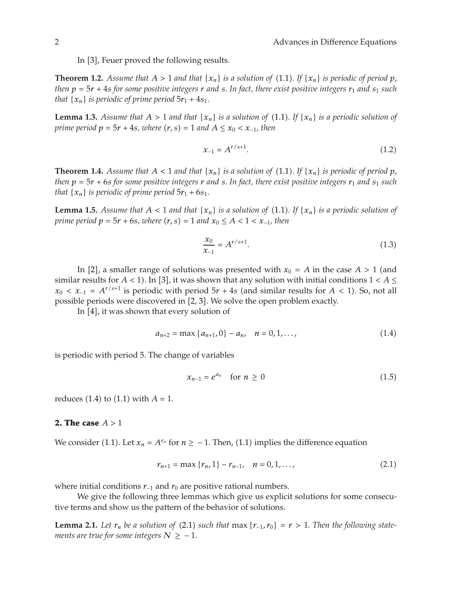In [3], Feuer proved the following results.

**Theorem 1.2.** Assume that  $A > 1$  and that  $\{x_n\}$  is a solution of (1.1). If  $\{x_n\}$  is periodic of period p, *then*  $p = 5r + 4s$  *for some positive integers r and s. In fact, there exist positive integers*  $r_1$  *and*  $s_1$  *such that*  $\{x_n\}$  *is periodic of prime period*  $5r_1 + 4s_1$ *.* 

**Lemma 1.3.** *Assume that*  $A > 1$  *and that*  $\{x_n\}$  *is a solution of* (1.1). If  $\{x_n\}$  *is a periodic solution of prime period*  $p = 5r + 4s$ *, where*  $(r, s) = 1$  *and*  $A \le x_0 < x_{-1}$ *, then* 

$$
x_{-1} = A^{r/s+1}.\tag{1.2}
$$

**Theorem 1.4.** *Assume that*  $A < 1$  *and that*  $\{x_n\}$  *is a solution of* (1.1). If  $\{x_n\}$  *is periodic of period p, then*  $p = 5r + 6s$  *for some positive integers r and s. In fact, there exist positive integers*  $r_1$  *and*  $s_1$  *such that*  $\{x_n\}$  *is periodic of prime period*  $5r_1 + 6s_1$ *.* 

**Lemma 1.5.** *Assume that*  $A < 1$  *and that*  $\{x_n\}$  *is a solution of* (1.1). If  $\{x_n\}$  *is a periodic solution of prime period*  $p = 5r + 6s$ *, where*  $(r, s) = 1$  and  $x_0 \le A < 1 < x_{-1}$ , then

$$
\frac{x_0}{x_{-1}} = A^{r/s+1}.\tag{1.3}
$$

In [2], a smaller range of solutions was presented with  $x_0 = A$  in the case  $A > 1$  (and similar results for  $A < 1$ ). In [3], it was shown that any solution with initial conditions  $1 < A \le$  $x_0 < x_{-1} = A^{r/s+1}$  is periodic with period  $5r + 4s$  (and similar results for  $A < 1$ ). So, not all possible periods were discovered in [2, 3]. We solve the open problem exactly.

In  $[4]$ , it was shown that every solution of

$$
a_{n+2} = \max\{a_{n+1}, 0\} - a_n, \quad n = 0, 1, \dots,
$$
\n(1.4)

is periodic with period 5. The change of variables

$$
x_{n-1} = e^{a_n} \quad \text{for } n \ge 0 \tag{1.5}
$$

reduces  $(1.4)$  to  $(1.1)$  with  $A = 1$ .

#### **2. The case** *A >* 1

We consider (1.1). Let  $x_n = A^{r_n}$  for  $n \ge -1$ . Then, (1.1) implies the difference equation

$$
r_{n+1} = \max \{r_n, 1\} - r_{n-1}, \quad n = 0, 1, ..., \tag{2.1}
$$

where initial conditions *r*<sub>−1</sub> and *r*<sub>0</sub> are positive rational numbers.

We give the following three lemmas which give us explicit solutions for some consecutive terms and show us the pattern of the behavior of solutions.

**Lemma 2.1.** Let  $r_n$  be a solution of (2.1) such that max  $\{r_{-1}, r_0\} = r > 1$ . Then the following state*ments are true for some integers*  $N \ge -1$ *.*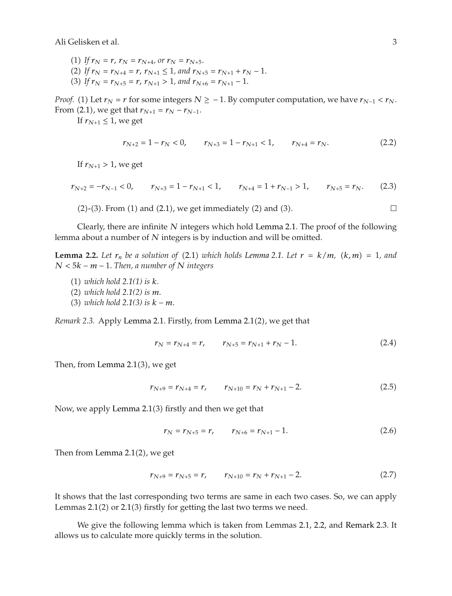Ali Gelisken et al. 3

(1) If  $r_N = r$ ,  $r_N = r_{N+4}$ , or  $r_N = r_{N+5}$ . (2) If  $r_N = r_{N+4} = r$ ,  $r_{N+1} \le 1$ , and  $r_{N+5} = r_{N+1} + r_N - 1$ .

(3) If  $r_N = r_{N+5} = r$ ,  $r_{N+1} > 1$ , and  $r_{N+6} = r_{N+1} - 1$ .

*Proof.* (1) Let  $r_N = r$  for some integers  $N \ge -1$ . By computer computation, we have  $r_{N-1} < r_N$ . From (2.1), we get that  $r_{N+1} = r_N - r_{N-1}$ .

If  $r_{N+1} \leq 1$ , we get

$$
r_{N+2} = 1 - r_N < 0, \qquad r_{N+3} = 1 - r_{N+1} < 1, \qquad r_{N+4} = r_N. \tag{2.2}
$$

If  $r_{N+1} > 1$ , we get

$$
r_{N+2} = -r_{N-1} < 0, \qquad r_{N+3} = 1 - r_{N+1} < 1, \qquad r_{N+4} = 1 + r_{N-1} > 1, \qquad r_{N+5} = r_N. \tag{2.3}
$$

(2)-(3). From (1) and (2.1), we get immediately (2) and (3). 
$$
\Box
$$

Clearly, there are infinite *N* integers which hold Lemma 2.1. The proof of the following lemma about a number of *N* integers is by induction and will be omitted.

**Lemma 2.2.** Let  $r_n$  be a solution of (2.1) which holds Lemma 2.1. Let  $r = k/m$ ,  $(k,m) = 1$ , and *N <* 5*k* − *m* − 1*. Then, a number of N integers*

- 1 *which hold 2.1(1) is k.*
- 2 *which hold 2.1(2) is m.*
- 3 *which hold 2.1(3) is k* − *m.*

*Remark 2.3.* Apply Lemma 2.1. Firstly, from Lemma 2.1(2), we get that

$$
r_N = r_{N+4} = r, \qquad r_{N+5} = r_{N+1} + r_N - 1. \tag{2.4}
$$

Then, from Lemma  $2.1(3)$ , we get

$$
r_{N+9} = r_{N+4} = r, \qquad r_{N+10} = r_N + r_{N+1} - 2. \tag{2.5}
$$

Now, we apply Lemma  $2.1(3)$  firstly and then we get that

$$
r_N = r_{N+5} = r, \qquad r_{N+6} = r_{N+1} - 1. \tag{2.6}
$$

Then from Lemma  $2.1(2)$ , we get

$$
r_{N+9} = r_{N+5} = r, \qquad r_{N+10} = r_N + r_{N+1} - 2. \tag{2.7}
$$

It shows that the last corresponding two terms are same in each two cases. So, we can apply Lemmas  $2.1(2)$  or  $2.1(3)$  firstly for getting the last two terms we need.

We give the following lemma which is taken from Lemmas 2.1, 2.2, and Remark 2.3. It allows us to calculate more quickly terms in the solution.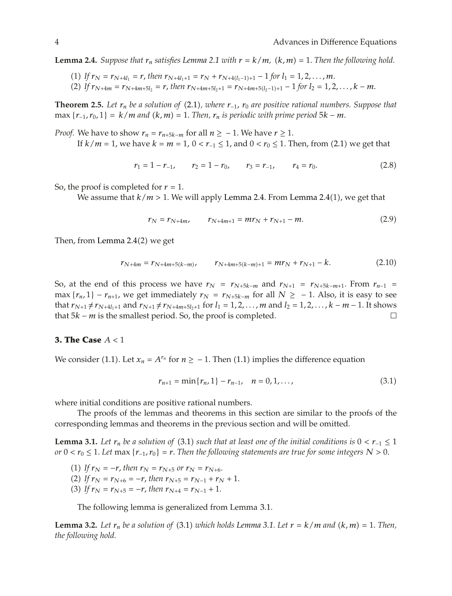**Lemma 2.4.** *Suppose that*  $r_n$  *satisfies Lemma 2.1 with*  $r = k/m$ *,*  $(k, m) = 1$ *. Then the following hold.* 

- (1) If  $r_N = r_{N+4l_1} = r$ , then  $r_{N+4l_1+1} = r_N + r_{N+4(l_1-1)+1} 1$  for  $l_1 = 1, 2, ..., m$ .
- $(2)$  *If*  $r_{N+4m} = r_{N+4m+5l_2} = r$ , then  $r_{N+4m+5l_2+1} = r_{N+4m+5(l_2-1)+1} 1$  for  $l_2 = 1, 2, ..., k-m$ .

**Theorem 2.5.** *Let*  $r_n$  *be a solution of* (2.1), where  $r_{-1}$ ,  $r_0$  *are positive rational numbers. Suppose that*  $\max \{r_{-1}, r_0, 1\} = k/m$  *and*  $(k, m) = 1$ . *Then,*  $r_n$  *is periodic with prime period* 5 $k - m$ .

*Proof.* We have to show  $r_n = r_{n+5k-m}$  for all  $n \ge -1$ . We have  $r \ge 1$ .

If  $k/m = 1$ , we have  $k = m = 1$ ,  $0 < r_{-1} \le 1$ , and  $0 < r_0 \le 1$ . Then, from (2.1) we get that

$$
r_1 = 1 - r_{-1}, \qquad r_2 = 1 - r_0, \qquad r_3 = r_{-1}, \qquad r_4 = r_0. \tag{2.8}
$$

So, the proof is completed for  $r = 1$ .

We assume that  $k/m > 1$ . We will apply Lemma 2.4. From Lemma 2.4(1), we get that

$$
r_N = r_{N+4m}, \qquad r_{N+4m+1} = mr_N + r_{N+1} - m. \tag{2.9}
$$

Then, from Lemma  $2.4(2)$  we get

$$
r_{N+4m} = r_{N+4m+5(k-m)}, \qquad r_{N+4m+5(k-m)+1} = mr_N + r_{N+1} - k. \tag{2.10}
$$

So, at the end of this process we have  $r_N = r_{N+5k-m}$  and  $r_{N+1} = r_{N+5k-m+1}$ . From  $r_{n-1} =$ max  ${r_n, 1} - r_{n+1}$ , we get immediately  $r_N = r_{N+5k-m}$  for all  $N \ge -1$ . Also, it is easy to see that  $r_{N+1} \neq r_{N+4l_1+1}$  and  $r_{N+1} \neq r_{N+4m+5l_2+1}$  for  $l_1 = 1, 2, ..., m$  and  $l_2 = 1, 2, ..., k - m - 1$ . It shows that 5*k* − *m* is the smallest period. So, the proof is completed. that 5*k* − *m* is the smallest period. So, the proof is completed.

#### **3. The Case** *A <* 1

We consider (1.1). Let  $x_n = A^{r_n}$  for  $n \ge -1$ . Then (1.1) implies the difference equation

$$
r_{n+1} = \min\{r_n, 1\} - r_{n-1}, \quad n = 0, 1, ..., \tag{3.1}
$$

where initial conditions are positive rational numbers.

The proofs of the lemmas and theorems in this section are similar to the proofs of the corresponding lemmas and theorems in the previous section and will be omitted.

**Lemma 3.1.** *Let*  $r_n$  *be a solution of* (3.1) *such that at least one of the initial conditions is*  $0 < r_{-1} \leq 1$ *or* 0 <  $r_0$  ≤ 1*.* Let max { $r_{-1}$ ,  $r_0$ } =  $r$ . Then the following statements are true for some integers  $N > 0$ .

- (1) If  $r_N = -r$ , then  $r_N = r_{N+5}$  or  $r_N = r_{N+6}$ .
- $(2)$  *If*  $r_N = r_{N+6} = -r$ , then  $r_{N+5} = r_{N-1} + r_N + 1$ .
- (3) If  $r_N = r_{N+5} = -r$ , then  $r_{N+4} = r_{N-1} + 1$ .

The following lemma is generalized from Lemma 3.1.

**Lemma 3.2.** Let  $r_n$  be a solution of (3.1) which holds Lemma 3.1. Let  $r = k/m$  and  $(k, m) = 1$ . Then, *the following hold.*